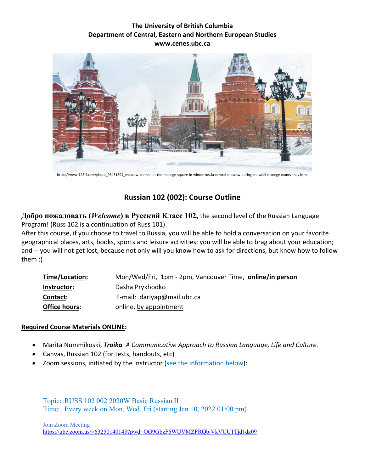## **The University of British Columbia Department of Central, Eastern and Northern European Studies www.cenes.ubc.ca**



https://www.123rf.com/photo\_95451894\_moscow-kremlin-at-the-manege-square-in-winter-russia-central-moscow-during-snowfall-manege-manezhnay.html

# **Russian 102 (002): Course Outline**

**Добро пожаловать (***Welcome***) в Русский Класс 102,** the second level of the Russian Language Program! (Russ 102 is a continuation of Russ 101).

After this course, if you choose to travel to Russia, you will be able to hold a conversation on your favorite geographical places, arts, books, sports and leisure activities; you will be able to brag about your education; and -- you will not get lost, because not only will you know how to ask for directions, but know how to follow them :)

| Time/Location:       | Mon/Wed/Fri, 1pm - 2pm, Vancouver Time, online/in person |
|----------------------|----------------------------------------------------------|
| Instructor:          | Dasha Prykhodko                                          |
| Contact:             | E-mail: dariyap@mail.ubc.ca                              |
| <b>Office hours:</b> | online, by appointment                                   |

### **Required Course Materials ONLINE:**

- Marita Nummikoski, *Troika. A Communicative Approach to Russian Language, Life and Culture.*
- Canvas, Russian 102 (for tests, handouts, etc)
- Zoom sessions, initiated by the instructor (see the information below):

Topic: RUSS 102 002 2020W Basic Russian II Time: Every week on Mon, Wed, Fri (starting Jan 10, 2022 01:00 pm)

Join Zoom Meeting <https://ubc.zoom.us/j/63250140145?pwd=OG9GbzF6WUVMZFRQbjVkVUU1Tjd1dz09>